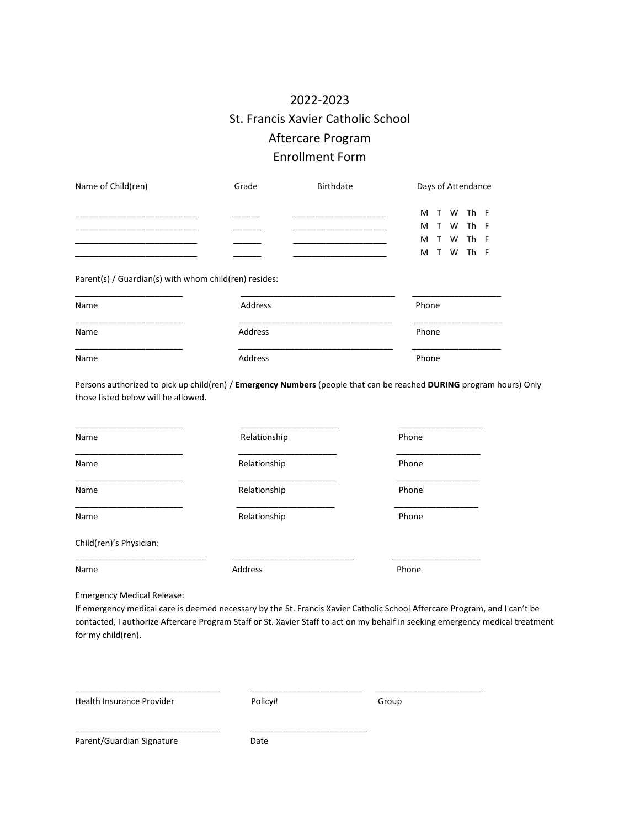## 2022-2023 St. Francis Xavier Catholic School Aftercare Program Enrollment Form

| Name of Child(ren) | Grade | Birthdate | Days of Attendance |
|--------------------|-------|-----------|--------------------|
|                    |       |           | M T W Th F         |
|                    |       |           | M T W Th F         |
|                    |       |           | M T W Th F         |
|                    |       |           | M T W Th F         |

Parent(s) / Guardian(s) with whom child(ren) resides:

| Name | Address | Phone |
|------|---------|-------|
| Name | Address | Phone |
| Name | Address | Phone |

Persons authorized to pick up child(ren) / **Emergency Numbers** (people that can be reached **DURING** program hours) Only those listed below will be allowed.

| Name                    | Relationship | Phone |  |
|-------------------------|--------------|-------|--|
| Name                    | Relationship | Phone |  |
| Name                    | Relationship | Phone |  |
| Name                    | Relationship | Phone |  |
| Child(ren)'s Physician: |              |       |  |
| Address<br>Name         |              | Phone |  |

Emergency Medical Release:

If emergency medical care is deemed necessary by the St. Francis Xavier Catholic School Aftercare Program, and I can't be contacted, I authorize Aftercare Program Staff or St. Xavier Staff to act on my behalf in seeking emergency medical treatment for my child(ren).

Health Insurance Provider **Provider** Policy# Policy Policy Assessment Realth Insurance Provider

\_\_\_\_\_\_\_\_\_\_\_\_\_\_\_\_\_\_\_\_\_\_\_\_\_\_\_\_\_\_\_ \_\_\_\_\_\_\_\_\_\_\_\_\_\_\_\_\_\_\_\_\_\_\_\_ \_\_\_\_\_\_\_\_\_\_\_\_\_\_\_\_\_\_\_\_\_\_\_

Parent/Guardian Signature **Date** 

\_\_\_\_\_\_\_\_\_\_\_\_\_\_\_\_\_\_\_\_\_\_\_\_\_\_\_\_\_\_\_ \_\_\_\_\_\_\_\_\_\_\_\_\_\_\_\_\_\_\_\_\_\_\_\_\_